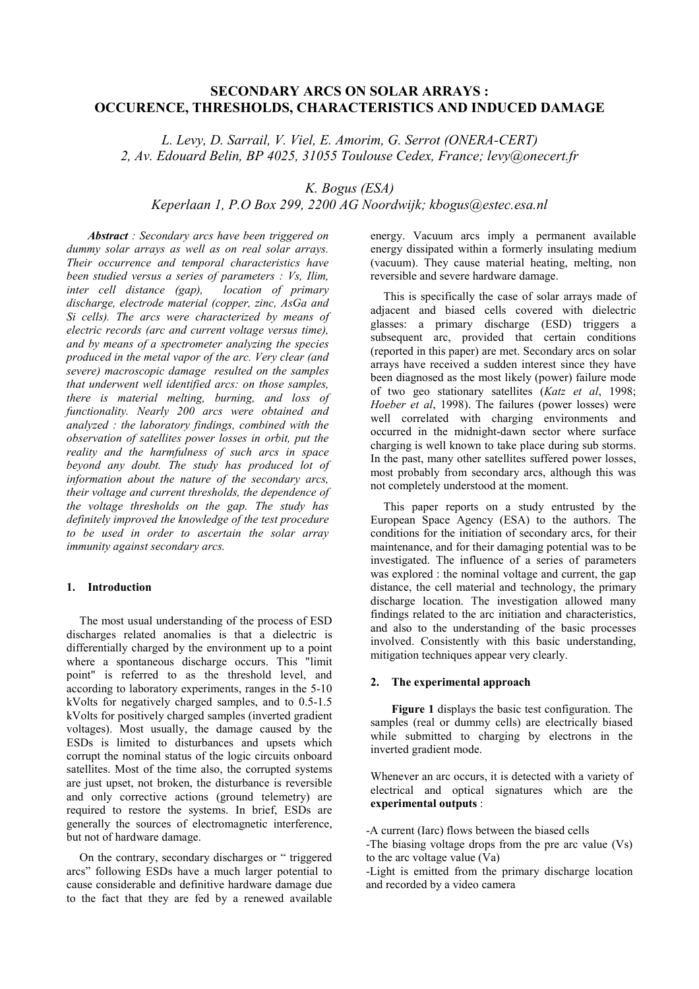# **SECONDARY ARCS ON SOLAR ARRAYS : OCCURENCE, THRESHOLDS, CHARACTERISTICS AND INDUCED DAMAGE**

*L. Levy, D. Sarrail, V. Viel, E. Amorim, G. Serrot (ONERA-CERT) 2, Av. Edouard Belin, BP 4025, 31055 Toulouse Cedex, France; levy@onecert.fr*

*K. Bogus (ESA)*

# *Keperlaan 1, P.O Box 299, 2200 AG Noordwijk; kbogus@estec.esa.nl*

*Abstract : Secondary arcs have been triggered on dummy solar arrays as well as on real solar arrays. Their occurrence and temporal characteristics have been studied versus a series of parameters : Vs, Ilim, inter cell distance (gap), discharge, electrode material (copper, zinc, AsGa and Si cells). The arcs were characterized by means of electric records (arc and current voltage versus time), and by means of a spectrometer analyzing the species produced in the metal vapor of the arc. Very clear (and severe) macroscopic damage resulted on the samples that underwent well identified arcs: on those samples, there is material melting, burning, and loss of functionality. Nearly 200 arcs were obtained and analyzed : the laboratory findings, combined with the observation of satellites power losses in orbit, put the reality and the harmfulness of such arcs in space beyond any doubt. The study has produced lot of information about the nature of the secondary arcs, their voltage and current thresholds, the dependence of the voltage thresholds on the gap. The study has definitely improved the knowledge of the test procedure to be used in order to ascertain the solar array immunity against secondary arcs.*

# **1. Introduction**

The most usual understanding of the process of ESD discharges related anomalies is that a dielectric is differentially charged by the environment up to a point where a spontaneous discharge occurs. This "limit point" is referred to as the threshold level, and according to laboratory experiments, ranges in the 5-10 kVolts for negatively charged samples, and to 0.5-1.5 kVolts for positively charged samples (inverted gradient voltages). Most usually, the damage caused by the ESDs is limited to disturbances and upsets which corrupt the nominal status of the logic circuits onboard satellites. Most of the time also, the corrupted systems are just upset, not broken, the disturbance is reversible and only corrective actions (ground telemetry) are required to restore the systems. In brief, ESDs are generally the sources of electromagnetic interference, but not of hardware damage.

On the contrary, secondary discharges or " triggered arcs" following ESDs have a much larger potential to cause considerable and definitive hardware damage due to the fact that they are fed by a renewed available energy. Vacuum arcs imply a permanent available energy dissipated within a formerly insulating medium (vacuum). They cause material heating, melting, non reversible and severe hardware damage.

This is specifically the case of solar arrays made of adjacent and biased cells covered with dielectric glasses: a primary discharge (ESD) triggers a subsequent arc, provided that certain conditions (reported in this paper) are met. Secondary arcs on solar arrays have received a sudden interest since they have been diagnosed as the most likely (power) failure mode of two geo stationary satellites (*Katz et al*, 1998; *Hoeber et al*, 1998). The failures (power losses) were well correlated with charging environments and occurred in the midnight-dawn sector where surface charging is well known to take place during sub storms. In the past, many other satellites suffered power losses, most probably from secondary arcs, although this was not completely understood at the moment.

This paper reports on a study entrusted by the European Space Agency (ESA) to the authors. The conditions for the initiation of secondary arcs, for their maintenance, and for their damaging potential was to be investigated. The influence of a series of parameters was explored : the nominal voltage and current, the gap distance, the cell material and technology, the primary discharge location. The investigation allowed many findings related to the arc initiation and characteristics, and also to the understanding of the basic processes involved. Consistently with this basic understanding, mitigation techniques appear very clearly.

#### **2. The experimental approach**

**Figure 1** displays the basic test configuration. The samples (real or dummy cells) are electrically biased while submitted to charging by electrons in the inverted gradient mode.

Whenever an arc occurs, it is detected with a variety of electrical and optical signatures which are the **experimental outputs** :

-A current (Iarc) flows between the biased cells

-The biasing voltage drops from the pre arc value (Vs) to the arc voltage value  $(Va)$ 

-Light is emitted from the primary discharge location and recorded by a video camera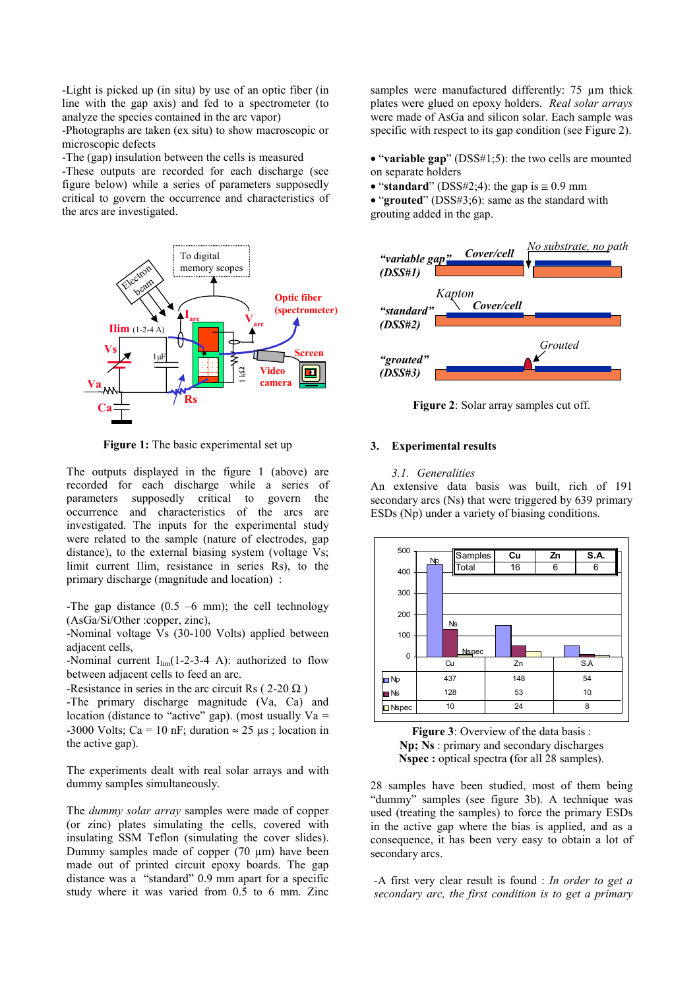-Light is picked up (in situ) by use of an optic fiber (in line with the gap axis) and fed to a spectrometer (to analyze the species contained in the arc vapor)

-Photographs are taken (ex situ) to show macroscopic or microscopic defects

-The (gap) insulation between the cells is measured

-These outputs are recorded for each discharge (see figure below) while a series of parameters supposedly critical to govern the occurrence and characteristics of the arcs are investigated.



**Figure 1:** The basic experimental set up

The outputs displayed in the figure 1 (above) are recorded for each discharge while a series of parameters supposedly critical to govern the occurrence and characteristics of the arcs are investigated. The inputs for the experimental study were related to the sample (nature of electrodes, gap distance), to the external biasing system (voltage Vs; limit current Ilim, resistance in series Rs), to the primary discharge (magnitude and location) :

-The gap distance  $(0.5 -6$  mm); the cell technology (AsGa/Si/Other :copper, zinc),

-Nominal voltage Vs (30-100 Volts) applied between adjacent cells,

-Nominal current  $I_{\text{lim}}(1-2-3-4)$ : authorized to flow between adjacent cells to feed an arc.

-Resistance in series in the arc circuit Rs ( $2-20 \Omega$ )

-The primary discharge magnitude (Va, Ca) and location (distance to "active" gap). (most usually  $Va =$ -3000 Volts; Ca = 10 nF; duration  $\approx$  25 µs; location in the active gap).

The experiments dealt with real solar arrays and with dummy samples simultaneously.

The *dummy solar array* samples were made of copper (or zinc) plates simulating the cells, covered with insulating SSM Teflon (simulating the cover slides). Dummy samples made of copper (70 µm) have been made out of printed circuit epoxy boards. The gap distance was a "standard" 0.9 mm apart for a specific study where it was varied from 0.5 to 6 mm. Zinc samples were manufactured differently: 75  $\mu$ m thick plates were glued on epoxy holders. *Real solar arrays* were made of AsGa and silicon solar. Each sample was specific with respect to its gap condition (see Figure 2).

• "**variable gap**" (DSS#1;5): the two cells are mounted on separate holders

• "**standard**" (DSS#2;4): the gap is  $\approx 0.9$  mm

• "**grouted**" (DSS#3;6): same as the standard with grouting added in the gap.



**Figure 2**: Solar array samples cut off.

### **3. Experimental results**

#### *3.1. Generalities*

An extensive data basis was built, rich of 191 secondary arcs (Ns) that were triggered by 639 primary ESDs (Np) under a variety of biasing conditions.



**Figure 3**: Overview of the data basis : **Np; Ns** : primary and secondary discharges **Nspec :** optical spectra **(**for all 28 samples).

28 samples have been studied, most of them being "dummy" samples (see figure 3b). A technique was used (treating the samples) to force the primary ESDs in the active gap where the bias is applied, and as a consequence, it has been very easy to obtain a lot of secondary arcs.

-A first very clear result is found : *In order to get a secondary arc, the first condition is to get a primary*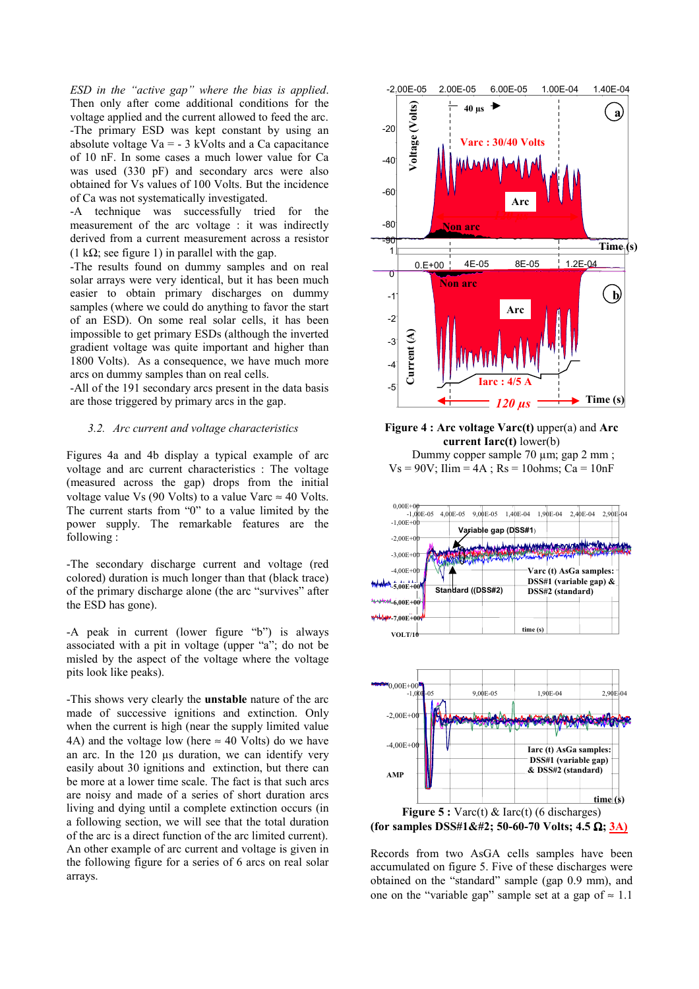*ESD in the "active gap" where the bias is applied*. Then only after come additional conditions for the voltage applied and the current allowed to feed the arc. -The primary ESD was kept constant by using an absolute voltage  $Va = -3$  kVolts and a Ca capacitance of 10 nF. In some cases a much lower value for Ca was used (330 pF) and secondary arcs were also obtained for Vs values of 100 Volts. But the incidence of Ca was not systematically investigated.

-A technique was successfully tried for the measurement of the arc voltage : it was indirectly derived from a current measurement across a resistor (1 k $\Omega$ ; see figure 1) in parallel with the gap.

-The results found on dummy samples and on real solar arrays were very identical, but it has been much easier to obtain primary discharges on dummy samples (where we could do anything to favor the start of an ESD). On some real solar cells, it has been impossible to get primary ESDs (although the inverted gradient voltage was quite important and higher than 1800 Volts). As a consequence, we have much more arcs on dummy samples than on real cells.

-All of the 191 secondary arcs present in the data basis are those triggered by primary arcs in the gap.

# *3.2. Arc current and voltage characteristics*

Figures 4a and 4b display a typical example of arc voltage and arc current characteristics : The voltage (measured across the gap) drops from the initial voltage value Vs (90 Volts) to a value Varc  $\approx$  40 Volts. The current starts from "0" to a value limited by the power supply. The remarkable features are the following :

-The secondary discharge current and voltage (red colored) duration is much longer than that (black trace) of the primary discharge alone (the arc "survives" after the ESD has gone).

-A peak in current (lower figure "b") is always associated with a pit in voltage (upper "a"; do not be misled by the aspect of the voltage where the voltage pits look like peaks).

-This shows very clearly the **unstable** nature of the arc made of successive ignitions and extinction. Only when the current is high (near the supply limited value 4A) and the voltage low (here  $\approx$  40 Volts) do we have an arc. In the 120 µs duration, we can identify very easily about 30 ignitions and extinction, but there can be more at a lower time scale. The fact is that such arcs are noisy and made of a series of short duration arcs living and dying until a complete extinction occurs (in a following section, we will see that the total duration of the arc is a direct function of the arc limited current). An other example of arc current and voltage is given in the following figure for a series of 6 arcs on real solar arrays.



**Figure 4 : Arc voltage Varc(t)** upper(a) and **Arc current Iarc(t)** lower(b) Dummy copper sample 70 µm; gap 2 mm ;

 $Vs = 90V$ ; Ilim =  $4A$ ; Rs = 10ohms; Ca = 10nF



Records from two AsGA cells samples have been accumulated on figure 5. Five of these discharges were obtained on the "standard" sample (gap 0.9 mm), and one on the "variable gap" sample set at a gap of  $\approx 1.1$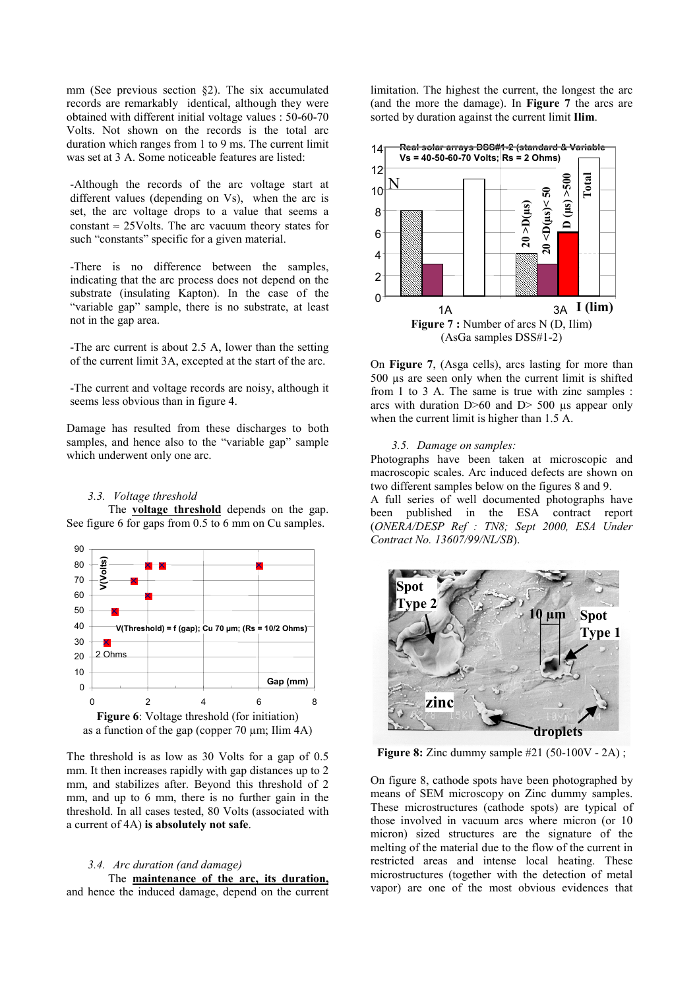mm (See previous section §2). The six accumulated records are remarkably identical, although they were obtained with different initial voltage values : 50-60-70 Volts. Not shown on the records is the total arc duration which ranges from 1 to 9 ms. The current limit was set at 3 A. Some noticeable features are listed:

-Although the records of the arc voltage start at different values (depending on Vs), when the arc is set, the arc voltage drops to a value that seems a constant  $\approx$  25Volts. The arc vacuum theory states for such "constants" specific for a given material.

-There is no difference between the samples, indicating that the arc process does not depend on the substrate (insulating Kapton). In the case of the "variable gap" sample, there is no substrate, at least not in the gap area.

-The arc current is about 2.5 A, lower than the setting of the current limit 3A, excepted at the start of the arc.

-The current and voltage records are noisy, although it seems less obvious than in figure 4.

Damage has resulted from these discharges to both samples, and hence also to the "variable gap" sample which underwent only one arc.

# *3.3. Voltage threshold*

The **voltage threshold** depends on the gap. See figure 6 for gaps from 0.5 to 6 mm on Cu samples.



The threshold is as low as 30 Volts for a gap of 0.5 mm. It then increases rapidly with gap distances up to 2 mm, and stabilizes after. Beyond this threshold of 2 mm, and up to 6 mm, there is no further gain in the threshold. In all cases tested, 80 Volts (associated with a current of 4A) **is absolutely not safe**.

# *3.4. Arc duration (and damage)*

The **maintenance of the arc, its duration,** and hence the induced damage, depend on the current limitation. The highest the current, the longest the arc (and the more the damage). In **Figure 7** the arcs are sorted by duration against the current limit **Ilim**.



On **Figure 7**, (Asga cells), arcs lasting for more than 500 µs are seen only when the current limit is shifted from 1 to 3 A. The same is true with zinc samples : arcs with duration  $D > 60$  and  $D > 500$  us appear only when the current limit is higher than 1.5 A.

# *3.5. Damage on samples:*

Photographs have been taken at microscopic and macroscopic scales. Arc induced defects are shown on two different samples below on the figures 8 and 9.

A full series of well documented photographs have been published in the ESA contract report (*ONERA/DESP Ref : TN8; Sept 2000, ESA Under Contract No. 13607/99/NL/SB*).



**Figure 8:** Zinc dummy sample #21 (50-100V - 2A) ;

On figure 8, cathode spots have been photographed by means of SEM microscopy on Zinc dummy samples. These microstructures (cathode spots) are typical of those involved in vacuum arcs where micron (or 10 micron) sized structures are the signature of the melting of the material due to the flow of the current in restricted areas and intense local heating. These microstructures (together with the detection of metal vapor) are one of the most obvious evidences that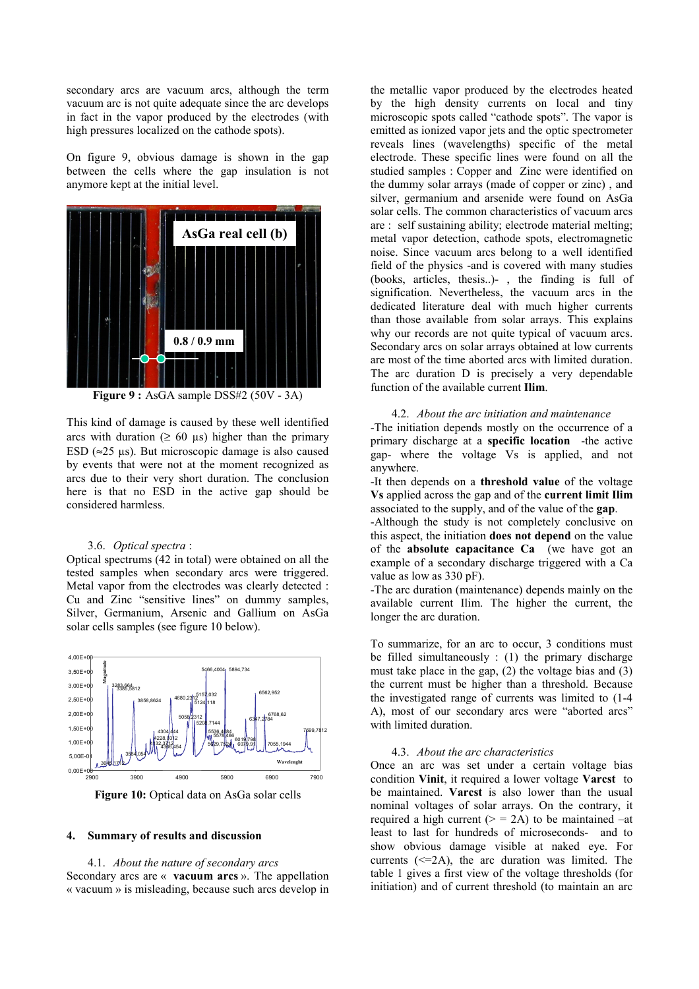secondary arcs are vacuum arcs, although the term vacuum arc is not quite adequate since the arc develops in fact in the vapor produced by the electrodes (with high pressures localized on the cathode spots).

On figure 9, obvious damage is shown in the gap between the cells where the gap insulation is not anymore kept at the initial level.



**Figure 9 :** AsGA sample DSS#2 (50V - 3A)

This kind of damage is caused by these well identified arcs with duration ( $\geq 60 \text{ }\mu\text{s}$ ) higher than the primary ESD ( $\approx$ 25 µs). But microscopic damage is also caused by events that were not at the moment recognized as arcs due to their very short duration. The conclusion here is that no ESD in the active gap should be considered harmless.

#### 3.6. *Optical spectra* :

Optical spectrums (42 in total) were obtained on all the tested samples when secondary arcs were triggered. Metal vapor from the electrodes was clearly detected : Cu and Zinc "sensitive lines" on dummy samples, Silver, Germanium, Arsenic and Gallium on AsGa solar cells samples (see figure 10 below).



Figure 10: Optical data on AsGa solar cells

#### **4. Summary of results and discussion**

4.1. *About the nature of secondary arcs* Secondary arcs are « **vacuum arcs** ». The appellation « vacuum » is misleading, because such arcs develop in

the metallic vapor produced by the electrodes heated by the high density currents on local and tiny microscopic spots called "cathode spots". The vapor is emitted as ionized vapor jets and the optic spectrometer reveals lines (wavelengths) specific of the metal electrode. These specific lines were found on all the studied samples : Copper and Zinc were identified on the dummy solar arrays (made of copper or zinc) , and silver, germanium and arsenide were found on AsGa solar cells. The common characteristics of vacuum arcs are : self sustaining ability; electrode material melting; metal vapor detection, cathode spots, electromagnetic noise. Since vacuum arcs belong to a well identified field of the physics -and is covered with many studies (books, articles, thesis..)- , the finding is full of signification. Nevertheless, the vacuum arcs in the dedicated literature deal with much higher currents than those available from solar arrays. This explains why our records are not quite typical of vacuum arcs. Secondary arcs on solar arrays obtained at low currents are most of the time aborted arcs with limited duration. The arc duration D is precisely a very dependable function of the available current **Ilim**.

4.2. *About the arc initiation and maintenance* -The initiation depends mostly on the occurrence of a primary discharge at a **specific location** -the active gap- where the voltage Vs is applied, and not anywhere.

-It then depends on a **threshold value** of the voltage **Vs** applied across the gap and of the **current limit Ilim** associated to the supply, and of the value of the **gap**.

-Although the study is not completely conclusive on this aspect, the initiation **does not depend** on the value of the **absolute capacitance Ca** (we have got an example of a secondary discharge triggered with a Ca value as low as 330 pF).

-The arc duration (maintenance) depends mainly on the available current Ilim. The higher the current, the longer the arc duration.

To summarize, for an arc to occur, 3 conditions must be filled simultaneously : (1) the primary discharge must take place in the gap, (2) the voltage bias and (3) the current must be higher than a threshold. Because the investigated range of currents was limited to (1-4 A), most of our secondary arcs were "aborted arcs" with limited duration.

#### 4.3. *About the arc characteristics*

Once an arc was set under a certain voltage bias condition **Vinit**, it required a lower voltage **Varcst** to be maintained. **Varcst** is also lower than the usual nominal voltages of solar arrays. On the contrary, it required a high current  $(>= 2A)$  to be maintained  $-at$ least to last for hundreds of microseconds- and to show obvious damage visible at naked eye. For currents  $(\leq=2A)$ , the arc duration was limited. The table 1 gives a first view of the voltage thresholds (for initiation) and of current threshold (to maintain an arc